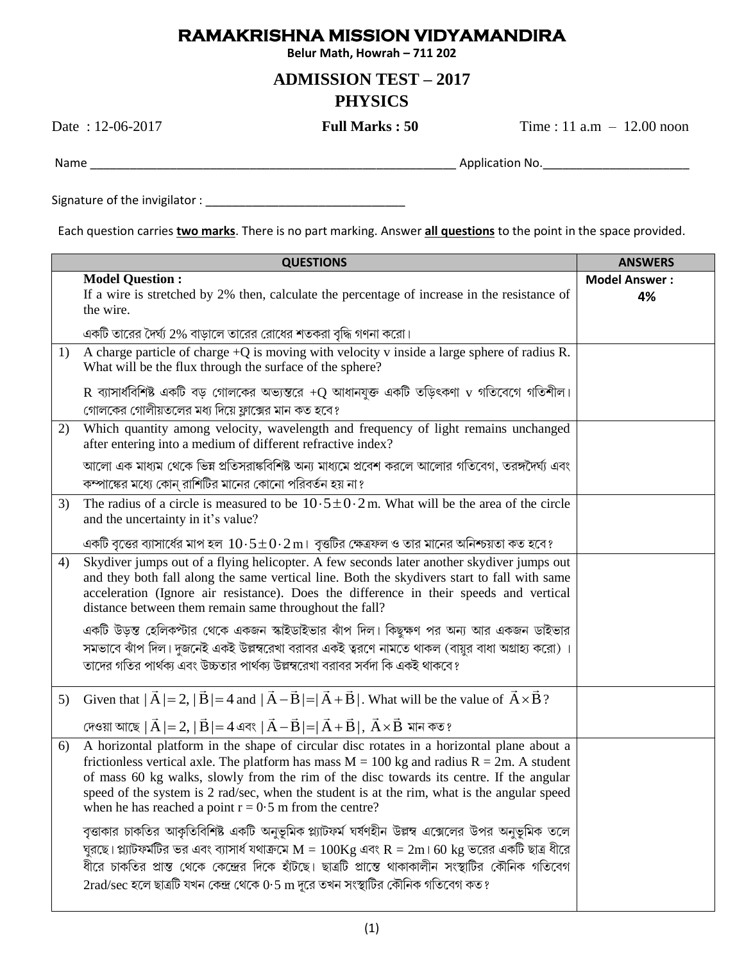## **RAMAKRISHNA MISSION VIDYAMANDIRA**

Belur Math, Howrah - 711 202

## **ADMISSION TEST - 2017 PHYSICS**

Date: 12-06-2017

**Full Marks: 50** 

Time:  $11$  a.m  $- 12.00$  noon

Each question carries *two marks*. There is no part marking. Answer *all questions* to the point in the space provided.

|    | <b>QUESTIONS</b>                                                                                                                                                                                                                                                                                                                                                                                                                                                                                                                                                                                                                                                                                                                                                                                                                                                                | <b>ANSWERS</b>             |
|----|---------------------------------------------------------------------------------------------------------------------------------------------------------------------------------------------------------------------------------------------------------------------------------------------------------------------------------------------------------------------------------------------------------------------------------------------------------------------------------------------------------------------------------------------------------------------------------------------------------------------------------------------------------------------------------------------------------------------------------------------------------------------------------------------------------------------------------------------------------------------------------|----------------------------|
|    | <b>Model Question:</b><br>If a wire is stretched by 2% then, calculate the percentage of increase in the resistance of<br>the wire.                                                                                                                                                                                                                                                                                                                                                                                                                                                                                                                                                                                                                                                                                                                                             | <b>Model Answer:</b><br>4% |
|    | একটি তারের দৈর্ঘ্য 2% বাড়ালে তারের রোধের শতকরা বৃদ্ধি গণনা করো।                                                                                                                                                                                                                                                                                                                                                                                                                                                                                                                                                                                                                                                                                                                                                                                                                |                            |
| 1) | A charge particle of charge $+Q$ is moving with velocity v inside a large sphere of radius R.<br>What will be the flux through the surface of the sphere?                                                                                                                                                                                                                                                                                                                                                                                                                                                                                                                                                                                                                                                                                                                       |                            |
|    | $R$ ব্যাসার্ধবিশিষ্ট একটি বড় গোলকের অভ্যন্তরে +Q আধানযুক্ত একটি তড়িৎকণা $v$ গতিবেগে গতিশীল।<br>গোলকের গোলীয়তলের মধ্য দিয়ে ফ্লাক্সের মান কত হবে?                                                                                                                                                                                                                                                                                                                                                                                                                                                                                                                                                                                                                                                                                                                             |                            |
| 2) | Which quantity among velocity, wavelength and frequency of light remains unchanged<br>after entering into a medium of different refractive index?                                                                                                                                                                                                                                                                                                                                                                                                                                                                                                                                                                                                                                                                                                                               |                            |
|    | আলো এক মাধ্যম থেকে ভিন্ন প্রতিসরাঙ্কবিশিষ্ট অন্য মাধ্যমে প্রবেশ করলে আলোর গতিবেগ, তরঙ্গদৈর্ঘ্য এবং<br>কম্পাঙ্কের মধ্যে কোন্ রাশিটির মানের কোনো পরিবর্তন হয় না?                                                                                                                                                                                                                                                                                                                                                                                                                                                                                                                                                                                                                                                                                                                 |                            |
| 3) | The radius of a circle is measured to be $10.5 \pm 0.2$ m. What will be the area of the circle<br>and the uncertainty in it's value?                                                                                                                                                                                                                                                                                                                                                                                                                                                                                                                                                                                                                                                                                                                                            |                            |
|    | একটি বৃত্তের ব্যাসার্ধের মাপ হল $10.5 \pm 0.2\,\mathrm{m}$ ।  বৃত্তটির ক্ষেত্রফল ও তার মানের অনিশ্চয়তা কত হবে ?                                                                                                                                                                                                                                                                                                                                                                                                                                                                                                                                                                                                                                                                                                                                                                |                            |
| 4) | Skydiver jumps out of a flying helicopter. A few seconds later another skydiver jumps out<br>and they both fall along the same vertical line. Both the skydivers start to fall with same<br>acceleration (Ignore air resistance). Does the difference in their speeds and vertical<br>distance between them remain same throughout the fall?                                                                                                                                                                                                                                                                                                                                                                                                                                                                                                                                    |                            |
|    | একটি উড়স্ত হেলিকপ্টার থেকে একজন স্কাইডাইভার ঝাঁপ দিল। কিছুক্ষণ পর অন্য আর একজন ডাইভার<br>সমভাবে ঝাঁপ দিল। দুজনেই একই উল্লম্বরেখা বরাবর একই ত্বরণে নামতে থাকল (বায়ুর বাধা অগ্রাহ্য করো) ।<br>তাদের গতির পার্থক্য এবং উচ্চতার পার্থক্য উল্লম্বরেখা বরাবর সর্বদা কি একই থাকবে?                                                                                                                                                                                                                                                                                                                                                                                                                                                                                                                                                                                                   |                            |
| 5) | Given that $ \vec{A}  = 2$ , $ \vec{B}  = 4$ and $ \vec{A} - \vec{B}  =  \vec{A} + \vec{B} $ . What will be the value of $\vec{A} \times \vec{B}$ ?                                                                                                                                                                                                                                                                                                                                                                                                                                                                                                                                                                                                                                                                                                                             |                            |
|    | দেওয়া আছে $ \vec{A}  = 2$ , $ \vec{B}  = 4$ এবং $ \vec{A} - \vec{B}  =  \vec{A} + \vec{B} $ , $\vec{A} \times \vec{B}$ মান কত?                                                                                                                                                                                                                                                                                                                                                                                                                                                                                                                                                                                                                                                                                                                                                 |                            |
| 6) | A horizontal platform in the shape of circular disc rotates in a horizontal plane about a<br>frictionless vertical axle. The platform has mass $M = 100$ kg and radius $R = 2m$ . A student<br>of mass 60 kg walks, slowly from the rim of the disc towards its centre. If the angular<br>speed of the system is 2 rad/sec, when the student is at the rim, what is the angular speed<br>when he has reached a point $r = 0.5$ m from the centre?<br>বৃত্তাকার চাকতির আকৃতিবিশিষ্ট একটি অনুভূমিক প্ল্যাটফর্ম ঘর্ষণহীন উল্লম্ব এক্সেলের উপর অনুভূমিক তলে<br>ঘুরছে। প্ল্যাটফর্মটির ভর এবং ব্যাসার্ধ যথাক্রমে $\rm M=100Kg$ এবং $\rm R=2m$ । 60 $\rm kg$ ভরের একটি ছাত্র ধীরে<br>ধীরে চাকতির প্রান্ত থেকে কেন্দ্রের দিকে হাঁটছে। ছাত্রটি প্রান্তে থাকাকালীন সংস্থাটির কৌনিক গতিবেগ<br>$2$ rad/sec হলে ছাত্রটি যখন কেন্দ্র থেকে $0.5 \text{ m}$ দূরে তখন সংস্থাটির কৌনিক গতিবেগ কত? |                            |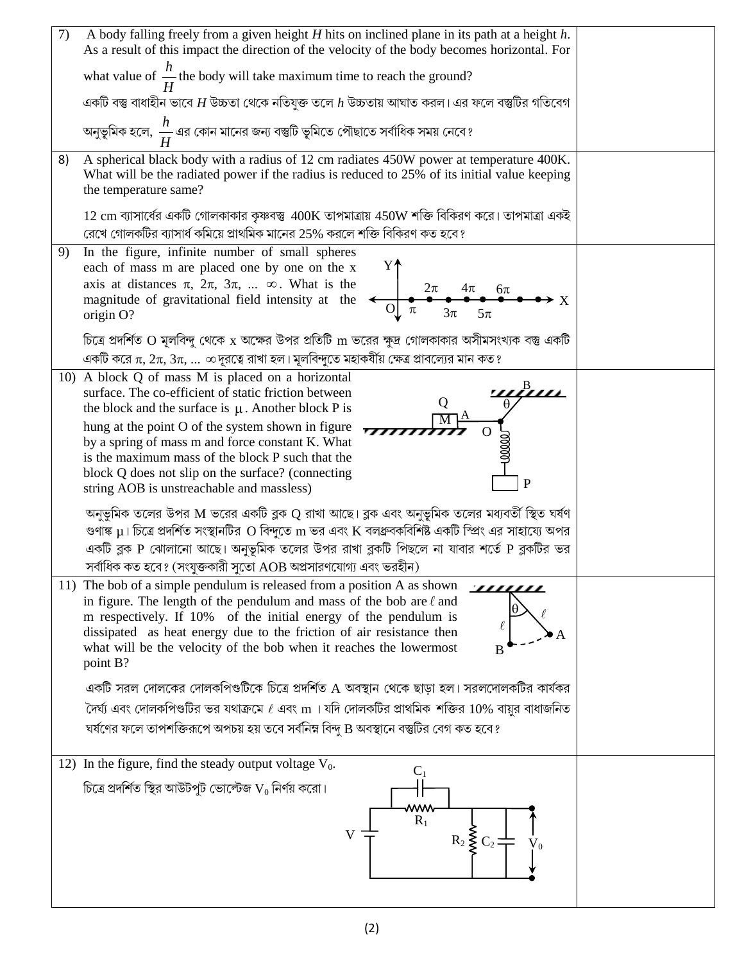| 7)<br>A body falling freely from a given height $H$ hits on inclined plane in its path at a height $h$ .<br>As a result of this impact the direction of the velocity of the body becomes horizontal. For                                                                                                                                                                                                        |  |
|-----------------------------------------------------------------------------------------------------------------------------------------------------------------------------------------------------------------------------------------------------------------------------------------------------------------------------------------------------------------------------------------------------------------|--|
| what value of $\frac{h}{H}$ the body will take maximum time to reach the ground?                                                                                                                                                                                                                                                                                                                                |  |
| একটি বস্তু বাধাহীন ভাবে $H$ উচ্চতা থেকে নতিযুক্ত তলে $h$ উচ্চতায় আঘাত করল। এর ফলে বস্তুটির গতিবেগ                                                                                                                                                                                                                                                                                                              |  |
| অনুভূমিক হলে, $\displaystyle{\frac{h}{H}}$ এর কোন মানের জন্য বস্তুটি ভূমিতে পৌছাতে সর্বাধিক সময় নেবে?                                                                                                                                                                                                                                                                                                          |  |
| A spherical black body with a radius of 12 cm radiates 450W power at temperature 400K.<br>8)<br>What will be the radiated power if the radius is reduced to 25% of its initial value keeping<br>the temperature same?                                                                                                                                                                                           |  |
| $12 \text{ cm}$ ব্যাসার্ধের একটি গোলকাকার কৃষ্ণবস্তু $400 \text{K}$ তাপমাত্রায় $450 \text{W}$ শক্তি বিকিরণ করে। তাপমাত্রা একই<br>রেখে গোলকটির ব্যাসার্ধ কমিয়ে প্রাথমিক মানের 25% করলে শক্তি বিকিরণ কত হবে?                                                                                                                                                                                                    |  |
| In the figure, infinite number of small spheres<br>9)<br>Y↑<br>each of mass m are placed one by one on the x<br>axis at distances $\pi$ , $2\pi$ , $3\pi$ , $\infty$ . What is the<br>$2\pi$<br>$\frac{4\pi}{2}$ 6 $\pi$<br>magnitude of gravitational field intensity at the<br>$\overrightarrow{O}$<br>$3\pi$<br>origin O?                                                                                    |  |
| চিত্রে প্রদর্শিত O মূলবিন্দু থেকে x অক্ষের উপর প্রতিটি m ভরের ক্ষুদ্র গোলকাকার অসীমসংখ্যক বস্তু একটি<br>একটি করে $\pi$ , $2\pi$ , $3\pi$ , $\infty$ দূরত্বে রাখা হল। মূলবিন্দুতে মহাকর্ষীয় ক্ষেত্র প্রাবল্যের মান কত ?                                                                                                                                                                                         |  |
| 10) A block Q of mass M is placed on a horizontal<br>surface. The co-efficient of static friction between<br>Q<br>the block and the surface is $\mu$ . Another block P is                                                                                                                                                                                                                                       |  |
| hung at the point O of the system shown in figure<br>by a spring of mass m and force constant K. What<br>is the maximum mass of the block P such that the<br>block Q does not slip on the surface? (connecting<br>P<br>string AOB is unstreachable and massless)                                                                                                                                                |  |
| অনুভূমিক তলের উপর M ভরের একটি ব্লক $\mathrm{Q}$ রাখা আছে। ব্লক এবং অনুভূমিক তলের মধ্যবর্তী স্থিত ঘর্ষণ<br>গুণাঙ্ক $\mu$ । চিত্রে প্রদর্শিত সংস্থানটির $\rm O$ বিন্দুতে $\rm m$ ভর এবং $\rm K$ বলধ্রুবকবিশিষ্ট একটি স্প্রিং এর সাহায্যে অপর<br>একটি ব্লক P ঝোলানো আছে। অনুভূমিক তলের উপর রাখা ব্লকটি পিছলে না যাবার শর্তে P ব্লকটির ভর<br>সর্বাধিক কত হবে? (সংযুক্তকারী সুতো $\rm{AOB}$ অপ্রসারণযোগ্য এবং ভরহীন) |  |
| 11) The bob of a simple pendulum is released from a position A as shown<br><u> 7777777</u><br>in figure. The length of the pendulum and mass of the bob are $\ell$ and<br>m respectively. If 10% of the initial energy of the pendulum is<br>dissipated as heat energy due to the friction of air resistance then<br>what will be the velocity of the bob when it reaches the lowermost<br>B<br>point B?        |  |
| একটি সরল দোলকের দোলকপিণ্ডটিকে চিত্রে প্রদর্শিত A অবস্থান থেকে ছাড়া হল। সরলদোলকটির কার্যকর<br>দৈর্ঘ্য এবং দোলকপিণ্ডটির ভর যথাক্রমে $\ell$ এবং ${\bf m}$ । যদি দোলকটির প্রাথমিক শক্তির $10\%$ বায়ুর বাধাজনিত<br>ঘর্ষণের ফলে তাপশক্তিরূপে অপচয় হয় তবে সর্বনিম্ন বিন্দু B অবস্থানে বস্তুটির বেগ কত হবে?                                                                                                         |  |
| 12) In the figure, find the steady output voltage $V_0$ .<br>$C_{1}$                                                                                                                                                                                                                                                                                                                                            |  |
| চিত্রে প্রদর্শিত স্থির আউটপুট ভোল্টেজ $\mathsf{V}_0$ নির্ণয় করো।<br>www<br>$R_1$<br>$R_2 \leqslant C_2$                                                                                                                                                                                                                                                                                                        |  |
|                                                                                                                                                                                                                                                                                                                                                                                                                 |  |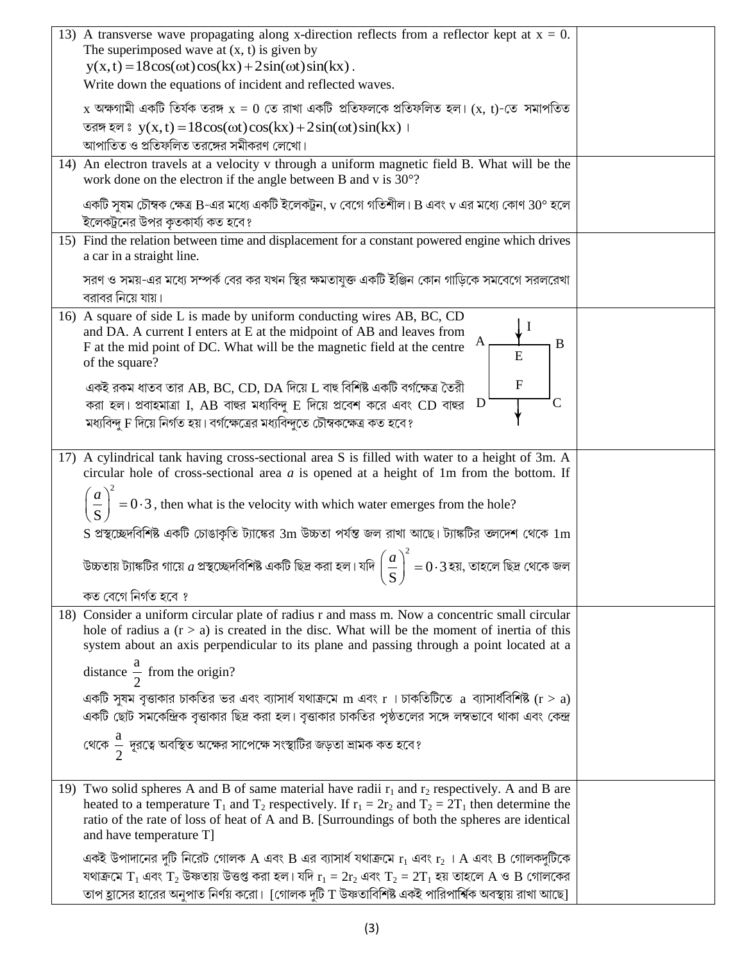|  | 13) A transverse wave propagating along x-direction reflects from a reflector kept at $x = 0$ .                                                                          |  |
|--|--------------------------------------------------------------------------------------------------------------------------------------------------------------------------|--|
|  | The superimposed wave at $(x, t)$ is given by                                                                                                                            |  |
|  | $y(x, t) = 18\cos(\omega t)\cos(kx) + 2\sin(\omega t)\sin(kx)$ .<br>Write down the equations of incident and reflected waves.                                            |  |
|  |                                                                                                                                                                          |  |
|  | $\rm{_X}$ অক্ষগামী একটি তিৰ্যক তরঙ্গ $\rm{_X} = 0$ তে রাখা একটি প্রতিফলকে প্রতিফলিত হল। $\rm{(x,~t)}$ -তে সমাপতিত                                                        |  |
|  | তরঙ্গ হলঃ $y(x, t) = 18\cos(\omega t)\cos(kx) + 2\sin(\omega t)\sin(kx)$                                                                                                 |  |
|  | আপাতিত ও প্রতিফলিত তরঙ্গের সমীকরণ লেখো।                                                                                                                                  |  |
|  | 14) An electron travels at a velocity v through a uniform magnetic field B. What will be the<br>work done on the electron if the angle between B and v is $30^{\circ}$ ? |  |
|  | একটি সুষম চৌম্বক ক্ষেত্র B-এর মধ্যে একটি ইলেকট্রন, $v$ বেগে গতিশীল। B এবং $v$ এর মধ্যে কোণ 30° হলে<br>ইলেকট্রনের উপর কৃতকার্য্য কত হবে?                                  |  |
|  | 15) Find the relation between time and displacement for a constant powered engine which drives                                                                           |  |
|  | a car in a straight line.                                                                                                                                                |  |
|  | সরণ ও সময়-এর মধ্যে সম্পর্ক বের কর যখন স্থির ক্ষমতাযুক্ত একটি ইঞ্জিন কোন গাড়িকে সমবেগে সরলরেখা<br>বরাবর নিয়ে যায়।                                                     |  |
|  | 16) A square of side L is made by uniform conducting wires AB, BC, CD                                                                                                    |  |
|  | and DA. A current I enters at E at the midpoint of AB and leaves from<br>B<br>F at the mid point of DC. What will be the magnetic field at the centre                    |  |
|  | of the square?                                                                                                                                                           |  |
|  | $\mathbf{F}$<br>একই রকম ধাতব তার AB, BC, CD, DA দিয়ে L বাহু বিশিষ্ট একটি বর্গক্ষেত্র তৈরী                                                                               |  |
|  | C<br>করা হল। প্রবাহমাত্রা I, AB বাহুর মধ্যবিন্দু E দিয়ে প্রবেশ করে এবং CD বাহুর $\, {\rm D} \,$                                                                         |  |
|  | মধ্যবিন্দু F দিয়ে নির্গত হয়। বর্গক্ষেত্রের মধ্যবিন্দুতে চৌম্বকক্ষেত্র কত হবে?                                                                                          |  |
|  |                                                                                                                                                                          |  |
|  | 17) A cylindrical tank having cross-sectional area S is filled with water to a height of 3m. A                                                                           |  |
|  | circular hole of cross-sectional area $a$ is opened at a height of 1m from the bottom. If                                                                                |  |
|  | $\left(\frac{a}{\mathbf{S}}\right)^2 = 0.3$ , then what is the velocity with which water emerges from the hole?                                                          |  |
|  | S প্রস্থচ্ছেদবিশিষ্ট একটি চোঙাকৃতি ট্যাঙ্কের 3m উচ্চতা পর্যন্ত জল রাখা আছে। ট্যাঙ্কটির তলদেশ থেকে $1\mathrm{m}$                                                          |  |
|  | উচ্চতায় ট্যাঙ্কটির গায়ে $a$ প্রস্থচ্ছেদবিশিষ্ট একটি ছিদ্র করা হল। যদি $\left(\frac{a}{\mathsf{c}}\right)^2=0\cdot3$ হয়, তাহলে ছিদ্র থেকে জল<br>$S_{\lambda}$          |  |
|  | কত বেগে নিৰ্গত হবে ?                                                                                                                                                     |  |
|  | 18) Consider a uniform circular plate of radius r and mass m. Now a concentric small circular                                                                            |  |
|  | hole of radius a $(r > a)$ is created in the disc. What will be the moment of inertia of this                                                                            |  |
|  | system about an axis perpendicular to its plane and passing through a point located at a                                                                                 |  |
|  | distance $\frac{a}{2}$ from the origin?                                                                                                                                  |  |
|  | একটি সুষম বৃত্তাকার চাকতির ভর এবং ব্যাসার্ধ যথাক্রমে m এবং r । চাকতিটিতে a ব্যাসার্ধবিশিষ্ট (r > a)                                                                      |  |
|  | একটি ছোট সমকেন্দ্রিক বৃত্তাকার ছিদ্র করা হল। বৃত্তাকার চাকতির পৃষ্ঠতলের সঙ্গে লম্বভাবে থাকা এবং কেন্দ্র                                                                  |  |
|  | থেকে $\frac{a}{2}$ দূরত্বে অবস্থিত অক্ষের সাপেক্ষে সংস্থাটির জড়তা ভ্রামক কত হবে?                                                                                        |  |
|  |                                                                                                                                                                          |  |
|  | 19) Two solid spheres A and B of same material have radii $r_1$ and $r_2$ respectively. A and B are                                                                      |  |
|  | heated to a temperature T <sub>1</sub> and T <sub>2</sub> respectively. If $r_1 = 2r_2$ and T <sub>2</sub> = 2T <sub>1</sub> then determine the                          |  |
|  | ratio of the rate of loss of heat of A and B. [Surroundings of both the spheres are identical                                                                            |  |
|  | and have temperature T]                                                                                                                                                  |  |
|  | একই উপাদানের দুটি নিরেট গোলক A এবং B এর ব্যাসার্ধ যথাক্রমে $r_1$ এবং $r_2$ । A এবং B গোলকদুটিকে                                                                          |  |
|  | যথাক্রমে $T_1$ এবং $T_2$ উষ্ণতায় উত্তপ্ত করা হল। যদি $r_1 = 2r_2$ এবং $T_2 = 2T_1$ হয় তাহলে A ও B গোলকের                                                               |  |
|  | তাপ হ্রাসের হারের অনুপাত নির্ণয় করো। [গোলক দুটি T উষ্ণতাবিশিষ্ট একই পারিপার্শ্বিক অবস্থায় রাখা আছে]                                                                    |  |